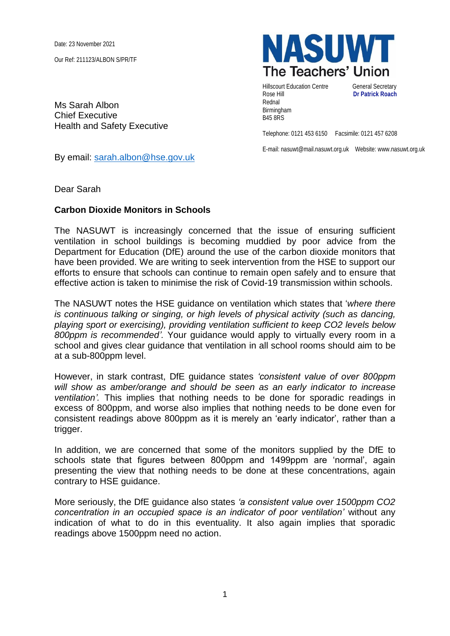Date: 23 November 2021

Our Ref: 211123/ALBON S/PR/TF

Ms Sarah Albon Chief Executive Health and Safety Executive

By email: [sarah.albon@hse.gov.uk](mailto:sarah.albon@hse.gov.uk)

Dear Sarah

## **Carbon Dioxide Monitors in Schools**

The NASUWT is increasingly concerned that the issue of ensuring sufficient ventilation in school buildings is becoming muddied by poor advice from the Department for Education (DfE) around the use of the carbon dioxide monitors that have been provided. We are writing to seek intervention from the HSE to support our efforts to ensure that schools can continue to remain open safely and to ensure that effective action is taken to minimise the risk of Covid-19 transmission within schools.

The NASUWT notes the HSE guidance on ventilation which states that '*where there is continuous talking or singing, or high levels of physical activity (such as dancing, playing sport or exercising), providing ventilation sufficient to keep CO2 levels below 800ppm is recommended'.* Your guidance would apply to virtually every room in a school and gives clear guidance that ventilation in all school rooms should aim to be at a sub-800ppm level.

However, in stark contrast, DfE guidance states *'consistent value of over 800ppm will show as amber/orange and should be seen as an early indicator to increase ventilation'.* This implies that nothing needs to be done for sporadic readings in excess of 800ppm, and worse also implies that nothing needs to be done even for consistent readings above 800ppm as it is merely an 'early indicator', rather than a trigger.

In addition, we are concerned that some of the monitors supplied by the DfE to schools state that figures between 800ppm and 1499ppm are 'normal', again presenting the view that nothing needs to be done at these concentrations, again contrary to HSE guidance.

More seriously, the DfE guidance also states *'a consistent value over 1500ppm CO2 concentration in an occupied space is an indicator of poor ventilation'* without any indication of what to do in this eventuality. It also again implies that sporadic readings above 1500ppm need no action.



Hillscourt Education Centre **General Secretary** Rose Hill **Dr Patrick Roach** Rednal Birmingham B45 8RS

Telephone: 0121 453 6150 Facsimile: 0121 457 6208

E-mail: nasuwt@mail.nasuwt.org.uk Website: www.nasuwt.org.uk